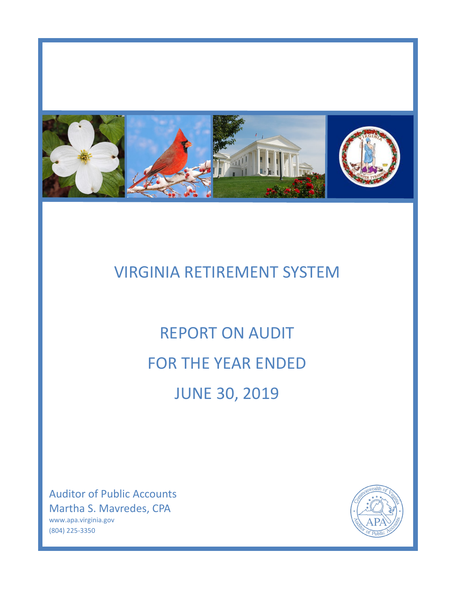

# VIRGINIA RETIREMENT SYSTEM

REPORT ON AUDIT FOR THE YEAR ENDED JUNE 30, 2019

Auditor of Public Accounts Martha S. Mavredes, CPA www.apa.virginia.gov (804) 225-3350

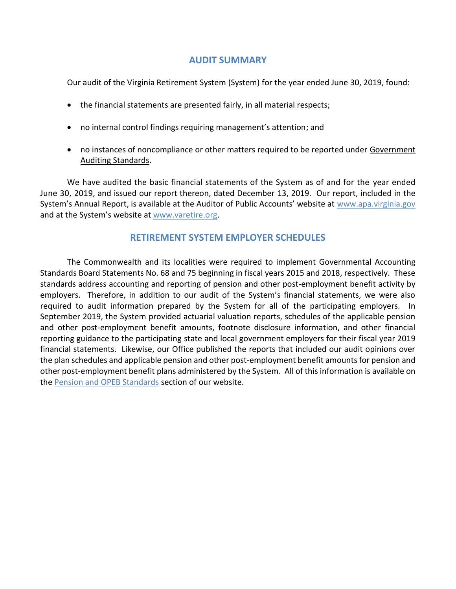### **AUDIT SUMMARY**

Our audit of the Virginia Retirement System (System) for the year ended June 30, 2019, found:

- the financial statements are presented fairly, in all material respects;
- no internal control findings requiring management's attention; and
- no instances of noncompliance or other matters required to be reported under Government Auditing Standards.

We have audited the basic financial statements of the System as of and for the year ended June 30, 2019, and issued our report thereon, dated December 13, 2019. Our report, included in the System's Annual Report, is available at the Auditor of Public Accounts' website at [www.apa.virginia.gov](http://www.apa.virginia.gov/) and at the System's website at [www.varetire.org.](http://www.varetire.org/)

### **RETIREMENT SYSTEM EMPLOYER SCHEDULES**

The Commonwealth and its localities were required to implement Governmental Accounting Standards Board Statements No. 68 and 75 beginning in fiscal years 2015 and 2018, respectively. These standards address accounting and reporting of pension and other post-employment benefit activity by employers. Therefore, in addition to our audit of the System's financial statements, we were also required to audit information prepared by the System for all of the participating employers. In September 2019, the System provided actuarial valuation reports, schedules of the applicable pension and other post-employment benefit amounts, footnote disclosure information, and other financial reporting guidance to the participating state and local government employers for their fiscal year 2019 financial statements. Likewise, our Office published the reports that included our audit opinions over the plan schedules and applicable pension and other post-employment benefit amounts for pension and other post-employment benefit plans administered by the System. All of this information is available on the [Pension and OPEB Standards](http://www.apa.virginia.gov/APA_Reports/pension_standards.aspx) section of our website.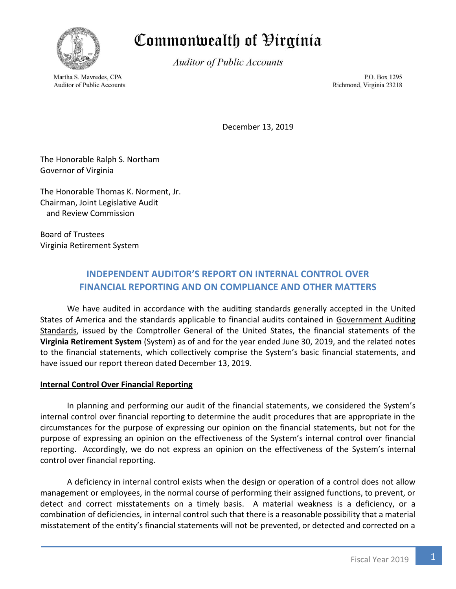

# Commonwealth of Hirginia

**Auditor of Public Accounts** 

Martha S. Mavredes, CPA **Auditor of Public Accounts** 

P.O. Box 1295 Richmond, Virginia 23218

December 13, 2019

The Honorable Ralph S. Northam Governor of Virginia

The Honorable Thomas K. Norment, Jr. Chairman, Joint Legislative Audit and Review Commission

Board of Trustees Virginia Retirement System

## **INDEPENDENT AUDITOR'S REPORT ON INTERNAL CONTROL OVER FINANCIAL REPORTING AND ON COMPLIANCE AND OTHER MATTERS**

We have audited in accordance with the auditing standards generally accepted in the United States of America and the standards applicable to financial audits contained in Government Auditing Standards, issued by the Comptroller General of the United States, the financial statements of the **Virginia Retirement System** (System) as of and for the year ended June 30, 2019, and the related notes to the financial statements, which collectively comprise the System's basic financial statements, and have issued our report thereon dated December 13, 2019.

### **Internal Control Over Financial Reporting**

In planning and performing our audit of the financial statements, we considered the System's internal control over financial reporting to determine the audit procedures that are appropriate in the circumstances for the purpose of expressing our opinion on the financial statements, but not for the purpose of expressing an opinion on the effectiveness of the System's internal control over financial reporting. Accordingly, we do not express an opinion on the effectiveness of the System's internal control over financial reporting.

A deficiency in internal control exists when the design or operation of a control does not allow management or employees, in the normal course of performing their assigned functions, to prevent, or detect and correct misstatements on a timely basis. A material weakness is a deficiency, or a combination of deficiencies, in internal control such that there is a reasonable possibility that a material misstatement of the entity's financial statements will not be prevented, or detected and corrected on a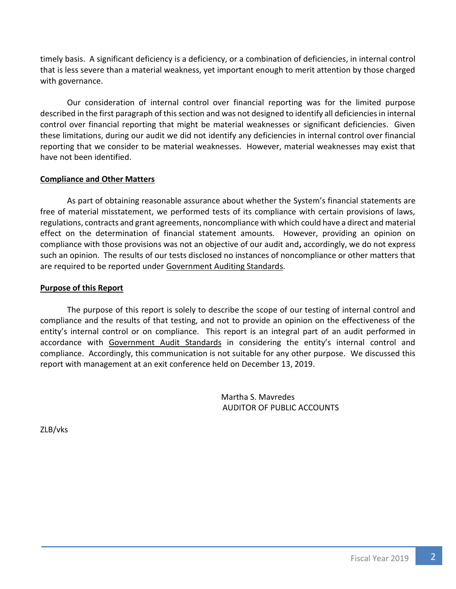timely basis. A significant deficiency is a deficiency, or a combination of deficiencies, in internal control that is less severe than a material weakness, yet important enough to merit attention by those charged with governance.

Our consideration of internal control over financial reporting was for the limited purpose described in the first paragraph of this section and was not designed to identify all deficiencies in internal control over financial reporting that might be material weaknesses or significant deficiencies. Given these limitations, during our audit we did not identify any deficiencies in internal control over financial reporting that we consider to be material weaknesses. However, material weaknesses may exist that have not been identified.

#### **Compliance and Other Matters**

As part of obtaining reasonable assurance about whether the System's financial statements are free of material misstatement, we performed tests of its compliance with certain provisions of laws, regulations, contracts and grant agreements, noncompliance with which could have a direct and material effect on the determination of financial statement amounts. However, providing an opinion on compliance with those provisions was not an objective of our audit and**,** accordingly, we do not express such an opinion. The results of our tests disclosed no instances of noncompliance or other matters that are required to be reported under Government Auditing Standards.

#### **Purpose of this Report**

The purpose of this report is solely to describe the scope of our testing of internal control and compliance and the results of that testing, and not to provide an opinion on the effectiveness of the entity's internal control or on compliance. This report is an integral part of an audit performed in accordance with Government Audit Standards in considering the entity's internal control and compliance. Accordingly, this communication is not suitable for any other purpose. We discussed this report with management at an exit conference held on December 13, 2019.

> Martha S. Mavredes AUDITOR OF PUBLIC ACCOUNTS

ZLB/vks